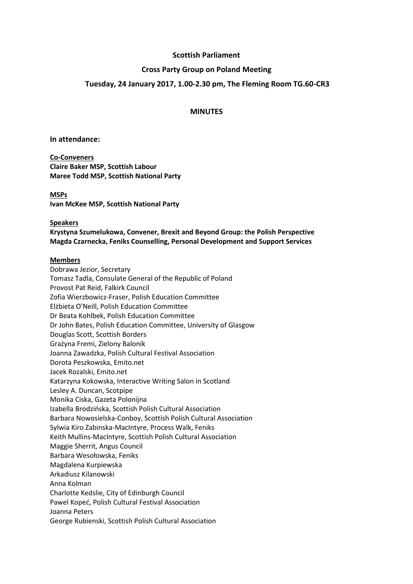### **Scottish Parliament**

### **Cross Party Group on Poland Meeting**

### **Tuesday, 24 January 2017, 1.00-2.30 pm, The Fleming Room TG.60-CR3**

#### **MINUTES**

#### **In attendance:**

**Co-Conveners Claire Baker MSP, Scottish Labour Maree Todd MSP, Scottish National Party**

#### **MSPs**

**Ivan McKee MSP, Scottish National Party**

#### **Speakers**

**Krystyna Szumelukowa, Convener, Brexit and Beyond Group: the Polish Perspective Magda Czarnecka, Feniks Counselling, Personal Development and Support Services**

#### **Members**

Dobrawa Jezior, Secretary Tomasz Tadla, Consulate General of the Republic of Poland Provost Pat Reid, Falkirk Council Zofia Wierzbowicz-Fraser, Polish Education Committee Elżbieta O'Neill, Polish Education Committee Dr Beata Kohlbek, Polish Education Committee Dr John Bates, Polish Education Committee, University of Glasgow Douglas Scott, Scottish Borders Grażyna Fremi, Zielony Balonik Joanna Zawadzka, Polish Cultural Festival Association Dorota Peszkowska, Emito.net Jacek Rozalski, Emito.net Katarzyna Kokowska, Interactive Writing Salon in Scotland Lesley A. Duncan, Scotpipe Monika Ciska, Gazeta Polonijna Izabella Brodzińska, Scottish Polish Cultural Association Barbara Nowosielska-Conboy, Scottish Polish Cultural Association Sylwia Kiro Zabinska-MacIntyre, Process Walk, Feniks Keith Mullins-MacIntyre, Scottish Polish Cultural Association Maggie Sherrit, Angus Council Barbara Wesołowska, Feniks Magdalena Kurpiewska Arkadiusz Kilanowski Anna Kolman Charlotte Kedslie, City of Edinburgh Council Pawel Kopeć, Polish Cultural Festival Association Joanna Peters George Rubienski, Scottish Polish Cultural Association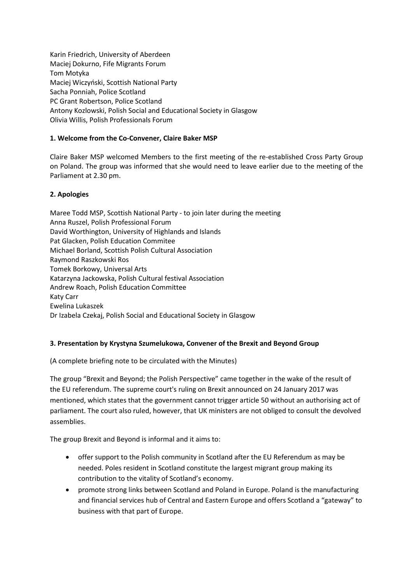Karin Friedrich, University of Aberdeen Maciej Dokurno, Fife Migrants Forum Tom Motyka Maciej Wiczyński, Scottish National Party Sacha Ponniah, Police Scotland PC Grant Robertson, Police Scotland Antony Kozlowski, Polish Social and Educational Society in Glasgow Olivia Willis, Polish Professionals Forum

## **1. Welcome from the Co-Convener, Claire Baker MSP**

Claire Baker MSP welcomed Members to the first meeting of the re-established Cross Party Group on Poland. The group was informed that she would need to leave earlier due to the meeting of the Parliament at 2.30 pm.

### **2. Apologies**

Maree Todd MSP, Scottish National Party - to join later during the meeting Anna Ruszel, Polish Professional Forum David Worthington, University of Highlands and Islands Pat Glacken, Polish Education Commitee Michael Borland, Scottish Polish Cultural Association Raymond Raszkowski Ros Tomek Borkowy, Universal Arts Katarzyna Jackowska, Polish Cultural festival Association Andrew Roach, Polish Education Committee Katy Carr Ewelina Lukaszek Dr Izabela Czekaj, Polish Social and Educational Society in Glasgow

## **3. Presentation by Krystyna Szumelukowa, Convener of the Brexit and Beyond Group**

(A complete briefing note to be circulated with the Minutes)

The group "Brexit and Beyond; the Polish Perspective" came together in the wake of the result of the EU referendum. The supreme court's ruling on Brexit announced on 24 January 2017 was mentioned, which states that the government cannot trigger article 50 without an authorising act of parliament. The court also ruled, however, that UK ministers are not obliged to consult the devolved assemblies.

The group Brexit and Beyond is informal and it aims to:

- offer support to the Polish community in Scotland after the EU Referendum as may be needed. Poles resident in Scotland constitute the largest migrant group making its contribution to the vitality of Scotland's economy.
- promote strong links between Scotland and Poland in Europe. Poland is the manufacturing and financial services hub of Central and Eastern Europe and offers Scotland a "gateway" to business with that part of Europe.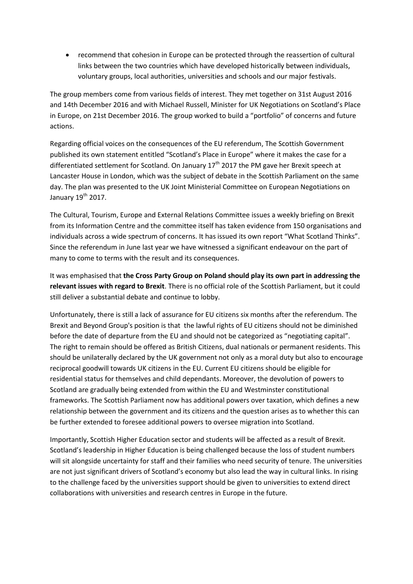recommend that cohesion in Europe can be protected through the reassertion of cultural links between the two countries which have developed historically between individuals, voluntary groups, local authorities, universities and schools and our major festivals.

The group members come from various fields of interest. They met together on 31st August 2016 and 14th December 2016 and with Michael Russell, Minister for UK Negotiations on Scotland's Place in Europe, on 21st December 2016. The group worked to build a "portfolio" of concerns and future actions.

Regarding official voices on the consequences of the EU referendum, The Scottish Government published its own statement entitled "Scotland's Place in Europe" where it makes the case for a differentiated settlement for Scotland. On January  $17<sup>th</sup>$  2017 the PM gave her Brexit speech at Lancaster House in London, which was the subject of debate in the Scottish Parliament on the same day. The plan was presented to the UK Joint Ministerial Committee on European Negotiations on January 19<sup>th</sup> 2017.

The Cultural, Tourism, Europe and External Relations Committee issues a weekly briefing on Brexit from its Information Centre and the committee itself has taken evidence from 150 organisations and individuals across a wide spectrum of concerns. It has issued its own report "What Scotland Thinks". Since the referendum in June last year we have witnessed a significant endeavour on the part of many to come to terms with the result and its consequences.

It was emphasised that **the Cross Party Group on Poland should play its own part in addressing the relevant issues with regard to Brexit**. There is no official role of the Scottish Parliament, but it could still deliver a substantial debate and continue to lobby.

Unfortunately, there is still a lack of assurance for EU citizens six months after the referendum. The Brexit and Beyond Group's position is that the lawful rights of EU citizens should not be diminished before the date of departure from the EU and should not be categorized as "negotiating capital". The right to remain should be offered as British Citizens, dual nationals or permanent residents. This should be unilaterally declared by the UK government not only as a moral duty but also to encourage reciprocal goodwill towards UK citizens in the EU. Current EU citizens should be eligible for residential status for themselves and child dependants. Moreover, the devolution of powers to Scotland are gradually being extended from within the EU and Westminster constitutional frameworks. The Scottish Parliament now has additional powers over taxation, which defines a new relationship between the government and its citizens and the question arises as to whether this can be further extended to foresee additional powers to oversee migration into Scotland.

Importantly, Scottish Higher Education sector and students will be affected as a result of Brexit. Scotland's leadership in Higher Education is being challenged because the loss of student numbers will sit alongside uncertainty for staff and their families who need security of tenure. The universities are not just significant drivers of Scotland's economy but also lead the way in cultural links. In rising to the challenge faced by the universities support should be given to universities to extend direct collaborations with universities and research centres in Europe in the future.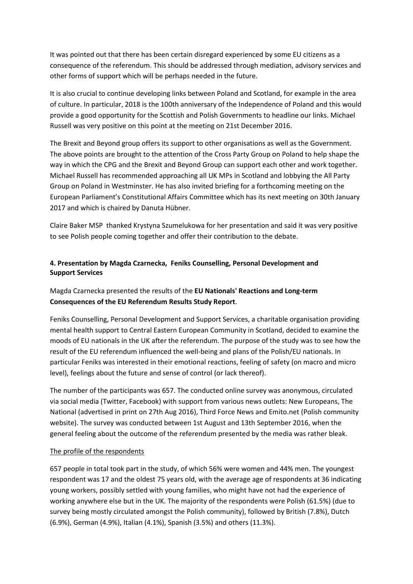It was pointed out that there has been certain disregard experienced by some EU citizens as a consequence of the referendum. This should be addressed through mediation, advisory services and other forms of support which will be perhaps needed in the future.

It is also crucial to continue developing links between Poland and Scotland, for example in the area of culture. In particular, 2018 is the 100th anniversary of the Independence of Poland and this would provide a good opportunity for the Scottish and Polish Governments to headline our links. Michael Russell was very positive on this point at the meeting on 21st December 2016.

The Brexit and Beyond group offers its support to other organisations as well as the Government. The above points are brought to the attention of the Cross Party Group on Poland to help shape the way in which the CPG and the Brexit and Beyond Group can support each other and work together. Michael Russell has recommended approaching all UK MPs in Scotland and lobbying the All Party Group on Poland in Westminster. He has also invited briefing for a forthcoming meeting on the European Parliament's Constitutional Affairs Committee which has its next meeting on 30th January 2017 and which is chaired by Danuta Hübner.

Claire Baker MSP thanked Krystyna Szumelukowa for her presentation and said it was very positive to see Polish people coming together and offer their contribution to the debate.

# **4. Presentation by Magda Czarnecka, Feniks Counselling, Personal Development and Support Services**

# Magda Czarnecka presented the results of the **EU Nationals' Reactions and Long-term Consequences of the EU Referendum Results Study Report**.

Feniks Counselling, Personal Development and Support Services, a charitable organisation providing mental health support to Central Eastern European Community in Scotland, decided to examine the moods of EU nationals in the UK after the referendum. The purpose of the study was to see how the result of the EU referendum influenced the well-being and plans of the Polish/EU nationals. In particular Feniks was interested in their emotional reactions, feeling of safety (on macro and micro level), feelings about the future and sense of control (or lack thereof).

The number of the participants was 657. The conducted online survey was anonymous, circulated via social media (Twitter, Facebook) with support from various news outlets: New Europeans, The National (advertised in print on 27th Aug 2016), Third Force News and Emito.net (Polish community website). The survey was conducted between 1st August and 13th September 2016, when the general feeling about the outcome of the referendum presented by the media was rather bleak.

#### The profile of the respondents

657 people in total took part in the study, of which 56% were women and 44% men. The youngest respondent was 17 and the oldest 75 years old, with the average age of respondents at 36 indicating young workers, possibly settled with young families, who might have not had the experience of working anywhere else but in the UK. The majority of the respondents were Polish (61.5%) (due to survey being mostly circulated amongst the Polish community), followed by British (7.8%), Dutch (6.9%), German (4.9%), Italian (4.1%), Spanish (3.5%) and others (11.3%).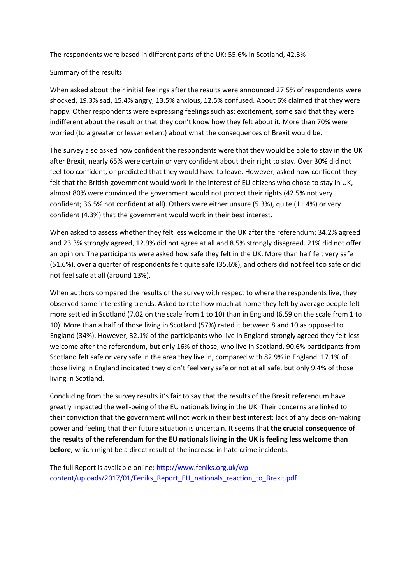The respondents were based in different parts of the UK: 55.6% in Scotland, 42.3%

#### Summary of the results

When asked about their initial feelings after the results were announced 27.5% of respondents were shocked, 19.3% sad, 15.4% angry, 13.5% anxious, 12.5% confused. About 6% claimed that they were happy. Other respondents were expressing feelings such as: excitement, some said that they were indifferent about the result or that they don't know how they felt about it. More than 70% were worried (to a greater or lesser extent) about what the consequences of Brexit would be.

The survey also asked how confident the respondents were that they would be able to stay in the UK after Brexit, nearly 65% were certain or very confident about their right to stay. Over 30% did not feel too confident, or predicted that they would have to leave. However, asked how confident they felt that the British government would work in the interest of EU citizens who chose to stay in UK, almost 80% were convinced the government would not protect their rights (42.5% not very confident; 36.5% not confident at all). Others were either unsure (5.3%), quite (11.4%) or very confident (4.3%) that the government would work in their best interest.

When asked to assess whether they felt less welcome in the UK after the referendum: 34.2% agreed and 23.3% strongly agreed, 12.9% did not agree at all and 8.5% strongly disagreed. 21% did not offer an opinion. The participants were asked how safe they felt in the UK. More than half felt very safe (51.6%), over a quarter of respondents felt quite safe (35.6%), and others did not feel too safe or did not feel safe at all (around 13%).

When authors compared the results of the survey with respect to where the respondents live, they observed some interesting trends. Asked to rate how much at home they felt by average people felt more settled in Scotland (7.02 on the scale from 1 to 10) than in England (6.59 on the scale from 1 to 10). More than a half of those living in Scotland (57%) rated it between 8 and 10 as opposed to England (34%). However, 32.1% of the participants who live in England strongly agreed they felt less welcome after the referendum, but only 16% of those, who live in Scotland. 90.6% participants from Scotland felt safe or very safe in the area they live in, compared with 82.9% in England. 17.1% of those living in England indicated they didn't feel very safe or not at all safe, but only 9.4% of those living in Scotland.

Concluding from the survey results it's fair to say that the results of the Brexit referendum have greatly impacted the well-being of the EU nationals living in the UK. Their concerns are linked to their conviction that the government will not work in their best interest; lack of any decision-making power and feeling that their future situation is uncertain. It seems that **the crucial consequence of the results of the referendum for the EU nationals living in the UK is feeling less welcome than before**, which might be a direct result of the increase in hate crime incidents.

The full Report is available online[: http://www.feniks.org.uk/wp](http://www.feniks.org.uk/wp-content/uploads/2017/01/Feniks_Report_EU_nationals_reaction_to_Brexit.pdf)[content/uploads/2017/01/Feniks\\_Report\\_EU\\_nationals\\_reaction\\_to\\_Brexit.pdf](http://www.feniks.org.uk/wp-content/uploads/2017/01/Feniks_Report_EU_nationals_reaction_to_Brexit.pdf)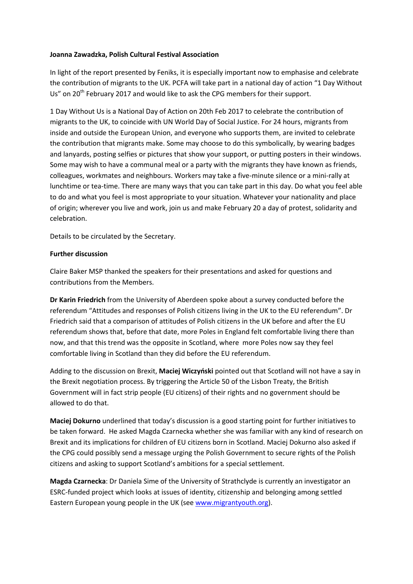### **Joanna Zawadzka, Polish Cultural Festival Association**

In light of the report presented by Feniks, it is especially important now to emphasise and celebrate the contribution of migrants to the UK. PCFA will take part in a national day of action "1 Day Without Us" on 20<sup>th</sup> February 2017 and would like to ask the CPG members for their support.

1 Day Without Us is a National Day of Action on 20th Feb 2017 to celebrate the contribution of migrants to the UK, to coincide with UN World Day of Social Justice. For 24 hours, migrants from inside and outside the European Union, and everyone who supports them, are invited to celebrate the contribution that migrants make. Some may choose to do this symbolically, by wearing badges and lanyards, posting selfies or pictures that show your support, or putting posters in their windows. Some may wish to have a communal meal or a party with the migrants they have known as friends, colleagues, workmates and neighbours. Workers may take a five-minute silence or a mini-rally at lunchtime or tea-time. There are many ways that you can take part in this day. Do what you feel able to do and what you feel is most appropriate to your situation. Whatever your nationality and place of origin; wherever you live and work, join us and make February 20 a day of protest, solidarity and celebration.

Details to be circulated by the Secretary.

### **Further discussion**

Claire Baker MSP thanked the speakers for their presentations and asked for questions and contributions from the Members.

**Dr Karin Friedrich** from the University of Aberdeen spoke about a survey conducted before the referendum "Attitudes and responses of Polish citizens living in the UK to the EU referendum". Dr Friedrich said that a comparison of attitudes of Polish citizens in the UK before and after the EU referendum shows that, before that date, more Poles in England felt comfortable living there than now, and that this trend was the opposite in Scotland, where more Poles now say they feel comfortable living in Scotland than they did before the EU referendum.

Adding to the discussion on Brexit, **Maciej Wiczyński** pointed out that Scotland will not have a say in the Brexit negotiation process. By triggering the Article 50 of the Lisbon Treaty, the British Government will in fact strip people (EU citizens) of their rights and no government should be allowed to do that.

**Maciej Dokurno** underlined that today's discussion is a good starting point for further initiatives to be taken forward. He asked Magda Czarnecka whether she was familiar with any kind of research on Brexit and its implications for children of EU citizens born in Scotland. Maciej Dokurno also asked if the CPG could possibly send a message urging the Polish Government to secure rights of the Polish citizens and asking to support Scotland's ambitions for a special settlement.

**Magda Czarnecka**: Dr Daniela Sime of the University of Strathclyde is currently an investigator an ESRC-funded project which looks at issues of identity, citizenship and belonging among settled Eastern European young people in the UK (se[e www.migrantyouth.org\)](http://www.migrantyouth.org/).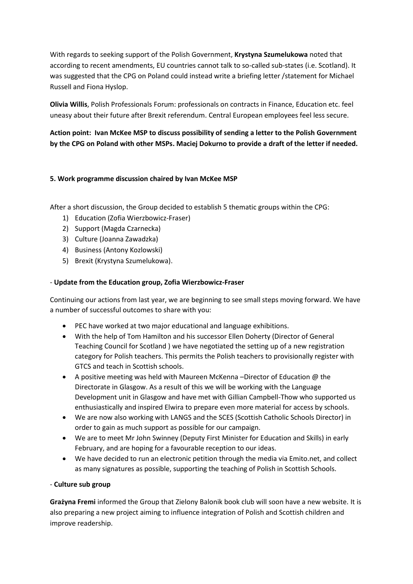With regards to seeking support of the Polish Government, **Krystyna Szumelukowa** noted that according to recent amendments, EU countries cannot talk to so-called sub-states (i.e. Scotland). It was suggested that the CPG on Poland could instead write a briefing letter /statement for Michael Russell and Fiona Hyslop.

**Olivia Willis**, Polish Professionals Forum: professionals on contracts in Finance, Education etc. feel uneasy about their future after Brexit referendum. Central European employees feel less secure.

# **Action point: Ivan McKee MSP to discuss possibility of sending a letter to the Polish Government by the CPG on Poland with other MSPs. Maciej Dokurno to provide a draft of the letter if needed.**

## **5. Work programme discussion chaired by Ivan McKee MSP**

After a short discussion, the Group decided to establish 5 thematic groups within the CPG:

- 1) Education (Zofia Wierzbowicz-Fraser)
- 2) Support (Magda Czarnecka)
- 3) Culture (Joanna Zawadzka)
- 4) Business (Antony Kozlowski)
- 5) Brexit (Krystyna Szumelukowa).

## - **Update from the Education group, Zofia Wierzbowicz-Fraser**

Continuing our actions from last year, we are beginning to see small steps moving forward. We have a number of successful outcomes to share with you:

- PEC have worked at two major educational and language exhibitions.
- With the help of Tom Hamilton and his successor Ellen Doherty (Director of General Teaching Council for Scotland ) we have negotiated the setting up of a new registration category for Polish teachers. This permits the Polish teachers to provisionally register with GTCS and teach in Scottish schools.
- A positive meeting was held with Maureen McKenna –Director of Education @ the Directorate in Glasgow. As a result of this we will be working with the Language Development unit in Glasgow and have met with Gillian Campbell-Thow who supported us enthusiastically and inspired Elwira to prepare even more material for access by schools.
- We are now also working with LANGS and the SCES (Scottish Catholic Schools Director) in order to gain as much support as possible for our campaign.
- We are to meet Mr John Swinney (Deputy First Minister for Education and Skills) in early February, and are hoping for a favourable reception to our ideas.
- We have decided to run an electronic petition through the media via Emito.net, and collect as many signatures as possible, supporting the teaching of Polish in Scottish Schools.

## - **Culture sub group**

**Grażyna Fremi** informed the Group that Zielony Balonik book club will soon have a new website. It is also preparing a new project aiming to influence integration of Polish and Scottish children and improve readership.